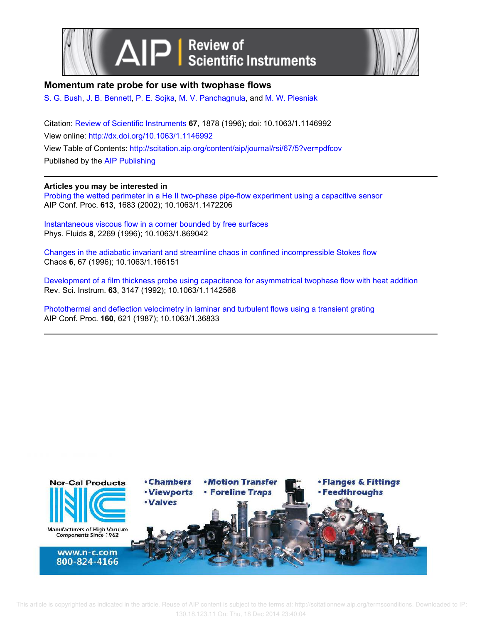



# **Momentum rate probe for use with twophase flows**

S. G. Bush, J. B. Bennett, P. E. Sojka, M. V. Panchagnula, and M. W. Plesniak

Citation: Review of Scientific Instruments **67**, 1878 (1996); doi: 10.1063/1.1146992 View online: http://dx.doi.org/10.1063/1.1146992 View Table of Contents: http://scitation.aip.org/content/aip/journal/rsi/67/5?ver=pdfcov Published by the AIP Publishing

# **Articles you may be interested in**

Probing the wetted perimeter in a He II two-phase pipe-flow experiment using a capacitive sensor AIP Conf. Proc. **613**, 1683 (2002); 10.1063/1.1472206

Instantaneous viscous flow in a corner bounded by free surfaces Phys. Fluids **8**, 2269 (1996); 10.1063/1.869042

Changes in the adiabatic invariant and streamline chaos in confined incompressible Stokes flow Chaos **6**, 67 (1996); 10.1063/1.166151

Development of a film thickness probe using capacitance for asymmetrical twophase flow with heat addition Rev. Sci. Instrum. **63**, 3147 (1992); 10.1063/1.1142568

Photothermal and deflection velocimetry in laminar and turbulent flows using a transient grating AIP Conf. Proc. **160**, 621 (1987); 10.1063/1.36833



 This article is copyrighted as indicated in the article. Reuse of AIP content is subject to the terms at: http://scitationnew.aip.org/termsconditions. Downloaded to IP: 130.18.123.11 On: Thu, 18 Dec 2014 23:40:04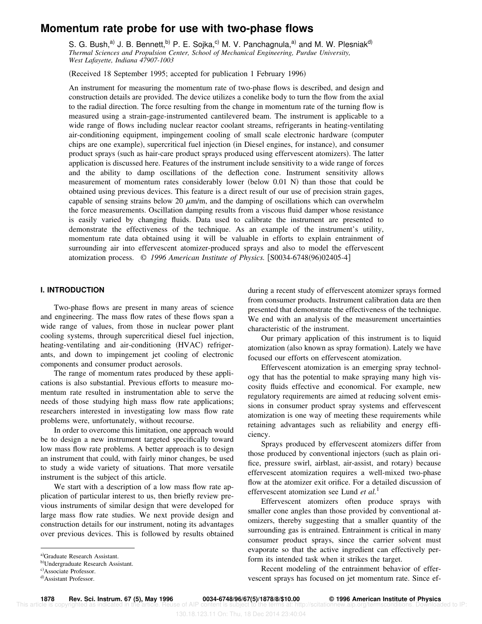# **Momentum rate probe for use with two-phase flows**

S. G. Bush,<sup>a)</sup> J. B. Bennett,<sup>b)</sup> P. E. Sojka,<sup>c)</sup> M. V. Panchagnula,<sup>a)</sup> and M. W. Plesniak<sup>d)</sup> *Thermal Sciences and Propulsion Center, School of Mechanical Engineering, Purdue University, West Lafayette, Indiana 47907-1003*

(Received 18 September 1995; accepted for publication 1 February 1996)

An instrument for measuring the momentum rate of two-phase flows is described, and design and construction details are provided. The device utilizes a conelike body to turn the flow from the axial to the radial direction. The force resulting from the change in momentum rate of the turning flow is measured using a strain-gage-instrumented cantilevered beam. The instrument is applicable to a wide range of flows including nuclear reactor coolant streams, refrigerants in heating-ventilating air-conditioning equipment, impingement cooling of small scale electronic hardware (computer chips are one example), supercritical fuel injection (in Diesel engines, for instance), and consumer product sprays (such as hair-care product sprays produced using effervescent atomizers). The latter application is discussed here. Features of the instrument include sensitivity to a wide range of forces and the ability to damp oscillations of the deflection cone. Instrument sensitivity allows measurement of momentum rates considerably lower (below  $0.01 \text{ N}$ ) than those that could be obtained using previous devices. This feature is a direct result of our use of precision strain gages, capable of sensing strains below 20  $\mu$ m/m, and the damping of oscillations which can overwhelm the force measurements. Oscillation damping results from a viscous fluid damper whose resistance is easily varied by changing fluids. Data used to calibrate the instrument are presented to demonstrate the effectiveness of the technique. As an example of the instrument's utility, momentum rate data obtained using it will be valuable in efforts to explain entrainment of surrounding air into effervescent atomizer-produced sprays and also to model the effervescent atomization process. © 1996 American Institute of Physics. [S0034-6748(96)02405-4]

# **I. INTRODUCTION**

Two-phase flows are present in many areas of science and engineering. The mass flow rates of these flows span a wide range of values, from those in nuclear power plant cooling systems, through supercritical diesel fuel injection, heating-ventilating and air-conditioning (HVAC) refrigerants, and down to impingement jet cooling of electronic components and consumer product aerosols.

The range of momentum rates produced by these applications is also substantial. Previous efforts to measure momentum rate resulted in instrumentation able to serve the needs of those studying high mass flow rate applications; researchers interested in investigating low mass flow rate problems were, unfortunately, without recourse.

In order to overcome this limitation, one approach would be to design a new instrument targeted specifically toward low mass flow rate problems. A better approach is to design an instrument that could, with fairly minor changes, be used to study a wide variety of situations. That more versatile instrument is the subject of this article.

We start with a description of a low mass flow rate application of particular interest to us, then briefly review previous instruments of similar design that were developed for large mass flow rate studies. We next provide design and construction details for our instrument, noting its advantages over previous devices. This is followed by results obtained during a recent study of effervescent atomizer sprays formed from consumer products. Instrument calibration data are then presented that demonstrate the effectiveness of the technique. We end with an analysis of the measurement uncertainties characteristic of the instrument.

Our primary application of this instrument is to liquid atomization (also known as spray formation). Lately we have focused our efforts on effervescent atomization.

Effervescent atomization is an emerging spray technology that has the potential to make spraying many high viscosity fluids effective and economical. For example, new regulatory requirements are aimed at reducing solvent emissions in consumer product spray systems and effervescent atomization is one way of meeting these requirements while retaining advantages such as reliability and energy efficiency.

Sprays produced by effervescent atomizers differ from those produced by conventional injectors (such as plain orifice, pressure swirl, airblast, air-assist, and rotary) because effervescent atomization requires a well-mixed two-phase flow at the atomizer exit orifice. For a detailed discussion of effervescent atomization see Lund *et al.*<sup>1</sup>

Effervescent atomizers often produce sprays with smaller cone angles than those provided by conventional atomizers, thereby suggesting that a smaller quantity of the surrounding gas is entrained. Entrainment is critical in many consumer product sprays, since the carrier solvent must evaporate so that the active ingredient can effectively perform its intended task when it strikes the target.

Recent modeling of the entrainment behavior of effervescent sprays has focused on jet momentum rate. Since ef-

**1878 Rev. Sci. Instrum. 67 (5), May 1996 0034-6748/96/67(5)/1878/8/\$10.00 © 1996 American Institute of Physics**

a)Graduate Research Assistant.

b)Undergraduate Research Assistant.

c) Associate Professor.

<sup>&</sup>lt;sup>d)</sup>Assistant Professor.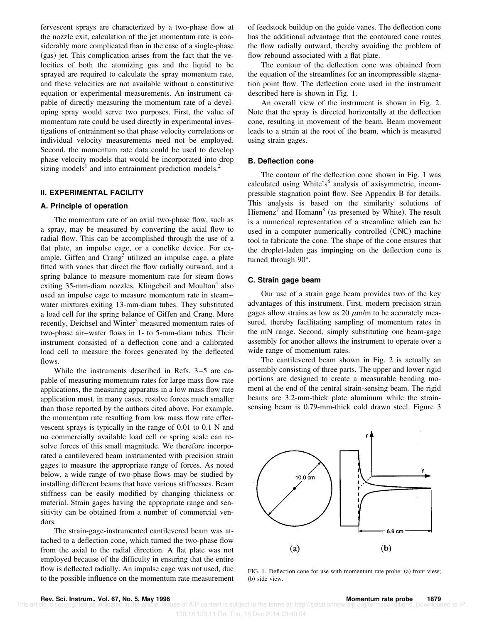fervescent sprays are characterized by a two-phase flow at the nozzle exit, calculation of the jet momentum rate is considerably more complicated than in the case of a single-phase (gas) jet. This complication arises from the fact that the velocities of both the atomizing gas and the liquid to be sprayed are required to calculate the spray momentum rate, and these velocities are not available without a constitutive equation or experimental measurements. An instrument capable of directly measuring the momentum rate of a developing spray would serve two purposes. First, the value of momentum rate could be used directly in experimental investigations of entrainment so that phase velocity correlations or individual velocity measurements need not be employed. Second, the momentum rate data could be used to develop phase velocity models that would be incorporated into drop sizing models<sup>1</sup> and into entrainment prediction models.<sup>2</sup>

# **II. EXPERIMENTAL FACILITY**

# **A. Principle of operation**

The momentum rate of an axial two-phase flow, such as a spray, may be measured by converting the axial flow to radial flow. This can be accomplished through the use of a flat plate, an impulse cage, or a conelike device. For example, Giffen and Crang<sup>3</sup> utilized an impulse cage, a plate fitted with vanes that direct the flow radially outward, and a spring balance to measure momentum rate for steam flows exiting 35-mm-diam nozzles. Klingebeil and Moulton<sup>4</sup> also used an impulse cage to measure momentum rate in steam– water mixtures exiting 13-mm-diam tubes. They substituted a load cell for the spring balance of Giffen and Crang. More recently, Deichsel and Winter<sup>5</sup> measured momentum rates of two-phase air–water flows in 1- to 5-mm-diam tubes. Their instrument consisted of a deflection cone and a calibrated load cell to measure the forces generated by the deflected flows.

While the instruments described in Refs. 3–5 are capable of measuring momentum rates for large mass flow rate applications, the measuring apparatus in a low mass flow rate application must, in many cases, resolve forces much smaller than those reported by the authors cited above. For example, the momentum rate resulting from low mass flow rate effervescent sprays is typically in the range of 0.01 to 0.1 N and no commercially available load cell or spring scale can resolve forces of this small magnitude. We therefore incorporated a cantilevered beam instrumented with precision strain gages to measure the appropriate range of forces. As noted below, a wide range of two-phase flows may be studied by installing different beams that have various stiffnesses. Beam stiffness can be easily modified by changing thickness or material. Strain gages having the appropriate range and sensitivity can be obtained from a number of commercial vendors.

The strain-gage-instrumented cantilevered beam was attached to a deflection cone, which turned the two-phase flow from the axial to the radial direction. A flat plate was not employed because of the difficulty in ensuring that the entire flow is deflected radially. An impulse cage was not used, due to the possible influence on the momentum rate measurement of feedstock buildup on the guide vanes. The deflection cone has the additional advantage that the contoured cone routes the flow radially outward, thereby avoiding the problem of flow rebound associated with a flat plate.

The contour of the deflection cone was obtained from the equation of the streamlines for an incompressible stagnation point flow. The deflection cone used in the instrument described here is shown in Fig. 1.

An overall view of the instrument is shown in Fig. 2. Note that the spray is directed horizontally at the deflection cone, resulting in movement of the beam. Beam movement leads to a strain at the root of the beam, which is measured using strain gages.

# **B. Deflection cone**

The contour of the deflection cone shown in Fig. 1 was calculated using White's<sup>6</sup> analysis of axisymmetric, incompressible stagnation point flow. See Appendix B for details. This analysis is based on the similarity solutions of Hiemenz<sup>7</sup> and Homann<sup>8</sup> (as presented by White). The result is a numerical representation of a streamline which can be used in a computer numerically controlled (CNC) machine tool to fabricate the cone. The shape of the cone ensures that the droplet-laden gas impinging on the deflection cone is turned through 90°.

#### **C. Strain gage beam**

Our use of a strain gage beam provides two of the key advantages of this instrument. First, modern precision strain gages allow strains as low as 20  $\mu$ m/m to be accurately measured, thereby facilitating sampling of momentum rates in the mN range. Second, simply substituting one beam-gage assembly for another allows the instrument to operate over a wide range of momentum rates.

The cantilevered beam shown in Fig. 2 is actually an assembly consisting of three parts. The upper and lower rigid portions are designed to create a measurable bending moment at the end of the central strain-sensing beam. The rigid beams are 3.2-mm-thick plate aluminum while the strainsensing beam is 0.79-mm-thick cold drawn steel. Figure 3



FIG. 1. Deflection cone for use with momentum rate probe: (a) front view; (b) side view.

te of AIP content is subject to the terms at: http://scitationnew.aip.org/termsconditions. Downloaded to IP:

130.18.123.11 On: Thu, 18 Dec 2014 23:40:04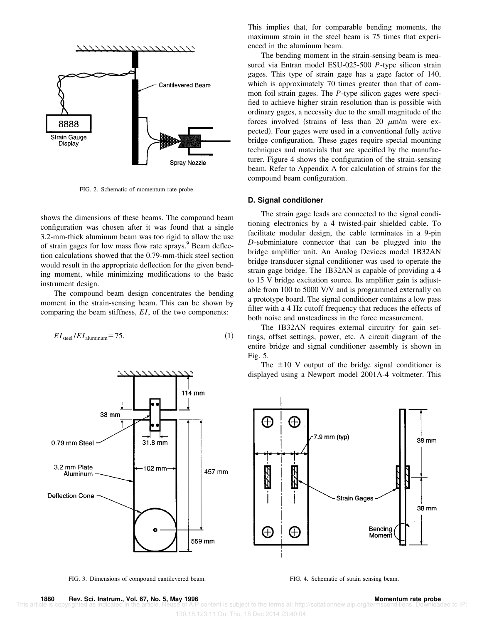

FIG. 2. Schematic of momentum rate probe.

shows the dimensions of these beams. The compound beam configuration was chosen after it was found that a single 3.2-mm-thick aluminum beam was too rigid to allow the use of strain gages for low mass flow rate sprays.<sup>9</sup> Beam deflection calculations showed that the 0.79-mm-thick steel section would result in the appropriate deflection for the given bending moment, while minimizing modifications to the basic instrument design.

The compound beam design concentrates the bending moment in the strain-sensing beam. This can be shown by comparing the beam stiffness, *EI*, of the two components:

$$
EI_{\text{steel}}/EI_{\text{aluminum}} = 75. \tag{1}
$$



FIG. 3. Dimensions of compound cantilevered beam. FIG. 4. Schematic of strain sensing beam.

This implies that, for comparable bending moments, the maximum strain in the steel beam is 75 times that experienced in the aluminum beam.

The bending moment in the strain-sensing beam is measured via Entran model ESU-025-500 *P*-type silicon strain gages. This type of strain gage has a gage factor of 140, which is approximately 70 times greater than that of common foil strain gages. The *P*-type silicon gages were specified to achieve higher strain resolution than is possible with ordinary gages, a necessity due to the small magnitude of the forces involved (strains of less than 20  $\mu$ m/m were expected). Four gages were used in a conventional fully active bridge configuration. These gages require special mounting techniques and materials that are specified by the manufacturer. Figure 4 shows the configuration of the strain-sensing beam. Refer to Appendix A for calculation of strains for the compound beam configuration.

#### **D. Signal conditioner**

The strain gage leads are connected to the signal conditioning electronics by a 4 twisted-pair shielded cable. To facilitate modular design, the cable terminates in a 9-pin *D*-subminiature connector that can be plugged into the bridge amplifier unit. An Analog Devices model 1B32AN bridge transducer signal conditioner was used to operate the strain gage bridge. The 1B32AN is capable of providing a 4 to 15 V bridge excitation source. Its amplifier gain is adjustable from 100 to 5000 V/V and is programmed externally on a prototype board. The signal conditioner contains a low pass filter with a 4 Hz cutoff frequency that reduces the effects of both noise and unsteadiness in the force measurement.

The 1B32AN requires external circuitry for gain settings, offset settings, power, etc. A circuit diagram of the entire bridge and signal conditioner assembly is shown in Fig. 5.

The  $\pm 10$  V output of the bridge signal conditioner is displayed using a Newport model 2001A-4 voltmeter. This



 This article is copyrighted as indicated in the article. Reuse of AIP content is subject to the terms at: http://scitationnew.aip.org/termsconditions. Downloaded to IP: 130.18.123.11 On: Thu, 18 Dec 2014 23:40:04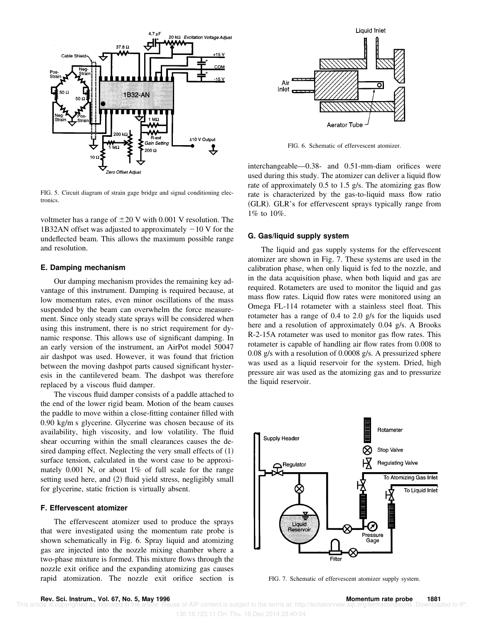

FIG. 5. Circuit diagram of strain gage bridge and signal conditioning electronics.

voltmeter has a range of  $\pm 20$  V with 0.001 V resolution. The 1B32AN offset was adjusted to approximately  $-10$  V for the undeflected beam. This allows the maximum possible range and resolution.

# **E. Damping mechanism**

Our damping mechanism provides the remaining key advantage of this instrument. Damping is required because, at low momentum rates, even minor oscillations of the mass suspended by the beam can overwhelm the force measurement. Since only steady state sprays will be considered when using this instrument, there is no strict requirement for dynamic response. This allows use of significant damping. In an early version of the instrument, an AirPot model 50047 air dashpot was used. However, it was found that friction between the moving dashpot parts caused significant hysteresis in the cantilevered beam. The dashpot was therefore replaced by a viscous fluid damper.

The viscous fluid damper consists of a paddle attached to the end of the lower rigid beam. Motion of the beam causes the paddle to move within a close-fitting container filled with 0.90 kg/m s glycerine. Glycerine was chosen because of its availability, high viscosity, and low volatility. The fluid shear occurring within the small clearances causes the desired damping effect. Neglecting the very small effects of  $(1)$ surface tension, calculated in the worst case to be approximately 0.001 N, or about 1% of full scale for the range setting used here, and (2) fluid yield stress, negligibly small for glycerine, static friction is virtually absent.

### **F. Effervescent atomizer**

The effervescent atomizer used to produce the sprays that were investigated using the momentum rate probe is shown schematically in Fig. 6. Spray liquid and atomizing gas are injected into the nozzle mixing chamber where a two-phase mixture is formed. This mixture flows through the nozzle exit orifice and the expanding atomizing gas causes rapid atomization. The nozzle exit orifice section is



FIG. 6. Schematic of effervescent atomizer.

interchangeable—0.38- and 0.51-mm-diam orifices were used during this study. The atomizer can deliver a liquid flow rate of approximately 0.5 to 1.5 g/s. The atomizing gas flow rate is characterized by the gas-to-liquid mass flow ratio (GLR). GLR's for effervescent sprays typically range from 1% to 10%.

#### **G. Gas/liquid supply system**

The liquid and gas supply systems for the effervescent atomizer are shown in Fig. 7. These systems are used in the calibration phase, when only liquid is fed to the nozzle, and in the data acquisition phase, when both liquid and gas are required. Rotameters are used to monitor the liquid and gas mass flow rates. Liquid flow rates were monitored using an Omega FL-114 rotameter with a stainless steel float. This rotameter has a range of 0.4 to 2.0 g/s for the liquids used here and a resolution of approximately 0.04 g/s. A Brooks R-2-15A rotameter was used to monitor gas flow rates. This rotameter is capable of handling air flow rates from 0.008 to 0.08 g/s with a resolution of 0.0008 g/s. A pressurized sphere was used as a liquid reservoir for the system. Dried, high pressure air was used as the atomizing gas and to pressurize the liquid reservoir.



FIG. 7. Schematic of effervescent atomizer supply system.

te of AIP content is subject to the terms at: http://scitationnew.aip.org/termsconditions. Downloaded to IP: 130.18.123.11 On: Thu, 18 Dec 2014 23:40:04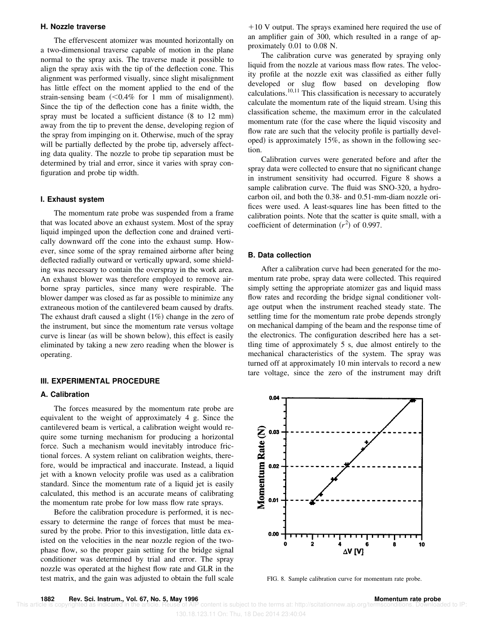# **H. Nozzle traverse**

The effervescent atomizer was mounted horizontally on a two-dimensional traverse capable of motion in the plane normal to the spray axis. The traverse made it possible to align the spray axis with the tip of the deflection cone. This alignment was performed visually, since slight misalignment has little effect on the moment applied to the end of the strain-sensing beam  $\approx 0.4\%$  for 1 mm of misalignment. Since the tip of the deflection cone has a finite width, the spray must be located a sufficient distance  $(8 \text{ to } 12 \text{ mm})$ away from the tip to prevent the dense, developing region of the spray from impinging on it. Otherwise, much of the spray will be partially deflected by the probe tip, adversely affecting data quality. The nozzle to probe tip separation must be determined by trial and error, since it varies with spray configuration and probe tip width.

# **I. Exhaust system**

The momentum rate probe was suspended from a frame that was located above an exhaust system. Most of the spray liquid impinged upon the deflection cone and drained vertically downward off the cone into the exhaust sump. However, since some of the spray remained airborne after being deflected radially outward or vertically upward, some shielding was necessary to contain the overspray in the work area. An exhaust blower was therefore employed to remove airborne spray particles, since many were respirable. The blower damper was closed as far as possible to minimize any extraneous motion of the cantilevered beam caused by drafts. The exhaust draft caused a slight  $(1%)$  change in the zero of the instrument, but since the momentum rate versus voltage curve is linear (as will be shown below), this effect is easily eliminated by taking a new zero reading when the blower is operating.

# **III. EXPERIMENTAL PROCEDURE**

### **A. Calibration**

The forces measured by the momentum rate probe are equivalent to the weight of approximately 4 g. Since the cantilevered beam is vertical, a calibration weight would require some turning mechanism for producing a horizontal force. Such a mechanism would inevitably introduce frictional forces. A system reliant on calibration weights, therefore, would be impractical and inaccurate. Instead, a liquid jet with a known velocity profile was used as a calibration standard. Since the momentum rate of a liquid jet is easily calculated, this method is an accurate means of calibrating the momentum rate probe for low mass flow rate sprays.

Before the calibration procedure is performed, it is necessary to determine the range of forces that must be measured by the probe. Prior to this investigation, little data existed on the velocities in the near nozzle region of the twophase flow, so the proper gain setting for the bridge signal conditioner was determined by trial and error. The spray nozzle was operated at the highest flow rate and GLR in the test matrix, and the gain was adjusted to obtain the full scale  $+10$  V output. The sprays examined here required the use of an amplifier gain of 300, which resulted in a range of approximately 0.01 to 0.08 N.

The calibration curve was generated by spraying only liquid from the nozzle at various mass flow rates. The velocity profile at the nozzle exit was classified as either fully developed or slug flow based on developing flow calculations.<sup>10,11</sup> This classification is necessary to accurately calculate the momentum rate of the liquid stream. Using this classification scheme, the maximum error in the calculated momentum rate (for the case where the liquid viscosity and flow rate are such that the velocity profile is partially developed) is approximately  $15\%$ , as shown in the following section.

Calibration curves were generated before and after the spray data were collected to ensure that no significant change in instrument sensitivity had occurred. Figure 8 shows a sample calibration curve. The fluid was SNO-320, a hydrocarbon oil, and both the 0.38- and 0.51-mm-diam nozzle orifices were used. A least-squares line has been fitted to the calibration points. Note that the scatter is quite small, with a coefficient of determination  $(r^2)$  of 0.997.

## **B. Data collection**

After a calibration curve had been generated for the momentum rate probe, spray data were collected. This required simply setting the appropriate atomizer gas and liquid mass flow rates and recording the bridge signal conditioner voltage output when the instrument reached steady state. The settling time for the momentum rate probe depends strongly on mechanical damping of the beam and the response time of the electronics. The configuration described here has a settling time of approximately 5 s, due almost entirely to the mechanical characteristics of the system. The spray was turned off at approximately 10 min intervals to record a new tare voltage, since the zero of the instrument may drift



FIG. 8. Sample calibration curve for momentum rate probe.

130.18.123.11 On: Thu, 18 Dec 2014 23:40:04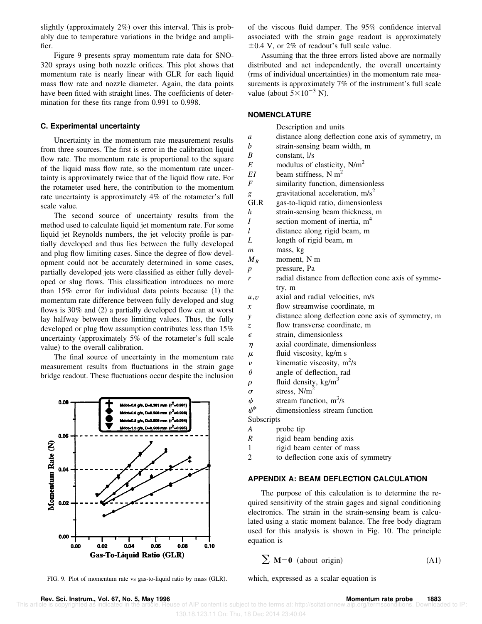slightly (approximately  $2\%$ ) over this interval. This is probably due to temperature variations in the bridge and amplifier.

Figure 9 presents spray momentum rate data for SNO-320 sprays using both nozzle orifices. This plot shows that momentum rate is nearly linear with GLR for each liquid mass flow rate and nozzle diameter. Again, the data points have been fitted with straight lines. The coefficients of determination for these fits range from 0.991 to 0.998.

# **C. Experimental uncertainty**

Uncertainty in the momentum rate measurement results from three sources. The first is error in the calibration liquid flow rate. The momentum rate is proportional to the square of the liquid mass flow rate, so the momentum rate uncertainty is approximately twice that of the liquid flow rate. For the rotameter used here, the contribution to the momentum rate uncertainty is approximately 4% of the rotameter's full scale value.

The second source of uncertainty results from the method used to calculate liquid jet momentum rate. For some liquid jet Reynolds numbers, the jet velocity profile is partially developed and thus lies between the fully developed and plug flow limiting cases. Since the degree of flow development could not be accurately determined in some cases, partially developed jets were classified as either fully developed or slug flows. This classification introduces no more than  $15\%$  error for individual data points because  $(1)$  the momentum rate difference between fully developed and slug flows is  $30\%$  and (2) a partially developed flow can at worst lay halfway between these limiting values. Thus, the fully developed or plug flow assumption contributes less than 15% uncertainty (approximately  $5\%$  of the rotameter's full scale value) to the overall calibration.

The final source of uncertainty in the momentum rate measurement results from fluctuations in the strain gage bridge readout. These fluctuations occur despite the inclusion



FIG. 9. Plot of momentum rate vs gas-to-liquid ratio by mass (GLR). which, expressed as a scalar equation is

of the viscous fluid damper. The 95% confidence interval associated with the strain gage readout is approximately  $\pm 0.4$  V, or 2% of readout's full scale value.

Assuming that the three errors listed above are normally distributed and act independently, the overall uncertainty (rms of individual uncertainties) in the momentum rate measurements is approximately 7% of the instrument's full scale value (about  $5\times10^{-3}$  N).

# **NOMENCLATURE**

|                    | Description and units                               |
|--------------------|-----------------------------------------------------|
| a                  | distance along deflection cone axis of symmetry, m  |
| b                  | strain-sensing beam width, m                        |
| B                  | constant, l/s                                       |
| E                  | modulus of elasticity, $N/m^2$                      |
| EI                 | beam stiffness, N $m2$                              |
| F                  | similarity function, dimensionless                  |
| g                  | gravitational acceleration, $m/s2$                  |
| <b>GLR</b>         | gas-to-liquid ratio, dimensionless                  |
| h                  | strain-sensing beam thickness, m                    |
| I                  | section moment of inertia, $m4$                     |
| l                  | distance along rigid beam, m                        |
| L                  | length of rigid beam, m                             |
| m                  | mass, kg                                            |
| $M_R$              | moment, N m                                         |
| $\boldsymbol{p}$   | pressure, Pa                                        |
| r                  | radial distance from deflection cone axis of symme- |
|                    | try, m                                              |
| u, v               | axial and radial velocities, m/s                    |
| $\boldsymbol{x}$   | flow streamwise coordinate, m                       |
| $\mathcal{V}$      | distance along deflection cone axis of symmetry, m  |
| Z.                 | flow transverse coordinate, m                       |
| $\epsilon$         | strain, dimensionless                               |
| $\eta$             | axial coordinate, dimensionless                     |
| $\mu$              | fluid viscosity, kg/m s                             |
| $\boldsymbol{\nu}$ | kinematic viscosity, $m^2/s$                        |
| $\theta$           | angle of deflection, rad                            |
| ρ                  | fluid density, $\text{kg/m}^3$                      |
| $\sigma$           | stress, $N/m2$                                      |
| ψ                  | stream function, $m^3/s$                            |
| $\psi^*$           | dimensionless stream function                       |
| Subscripts         |                                                     |
| $\boldsymbol{A}$   | probe tip                                           |
| $\boldsymbol{R}$   | rigid beam bending axis                             |
| 1                  | rigid beam center of mass                           |

2 to deflection cone axis of symmetry

### **APPENDIX A: BEAM DEFLECTION CALCULATION**

The purpose of this calculation is to determine the required sensitivity of the strain gages and signal conditioning electronics. The strain in the strain-sensing beam is calculated using a static moment balance. The free body diagram used for this analysis is shown in Fig. 10. The principle equation is

$$
\sum M = 0 \text{ (about origin)} \tag{A1}
$$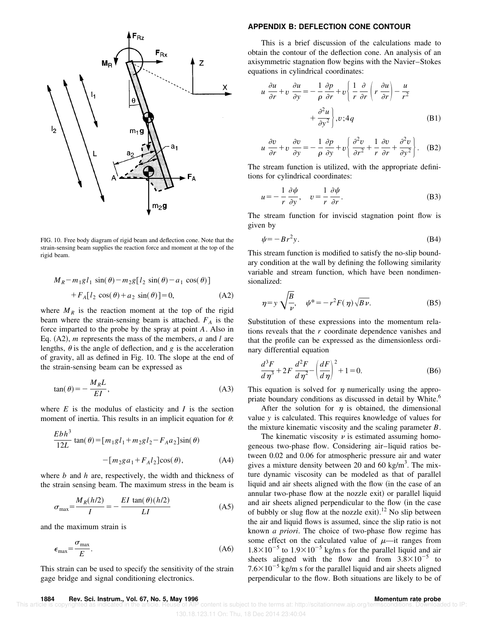

FIG. 10. Free body diagram of rigid beam and deflection cone. Note that the strain-sensing beam supplies the reaction force and moment at the top of the rigid beam.

$$
M_R - m_1 g l_1 \sin(\theta) - m_2 g [l_2 \sin(\theta) - a_1 \cos(\theta)]
$$
  
+ 
$$
F_A [l_2 \cos(\theta) + a_2 \sin(\theta)] = 0,
$$
 (A2)

where  $M_R$  is the reaction moment at the top of the rigid beam where the strain-sensing beam is attached. *F<sup>A</sup>* is the force imparted to the probe by the spray at point *A*. Also in Eq.  $(A2)$ , *m* represents the mass of the members, *a* and *l* are lengths,  $\theta$  is the angle of deflection, and *g* is the acceleration of gravity, all as defined in Fig. 10. The slope at the end of the strain-sensing beam can be expressed as

$$
\tan(\theta) = -\frac{M_R L}{EI},\tag{A3}
$$

where  $E$  is the modulus of elasticity and  $I$  is the section moment of inertia. This results in an implicit equation for  $\theta$ :

$$
\frac{Ebh^3}{12L} \tan(\theta) = [m_1gl_1 + m_2gl_2 - F_Aa_2] \sin(\theta)
$$

$$
- [m_2ga_1 + F_Al_2] \cos(\theta), \tag{A4}
$$

where *b* and *h* are, respectively, the width and thickness of the strain sensing beam. The maximum stress in the beam is

$$
\sigma_{\text{max}} = \frac{M_R(h/2)}{I} = -\frac{EI \tan(\theta)(h/2)}{LI}
$$
 (A5)

and the maximum strain is

$$
\epsilon_{\text{max}} = \frac{\sigma_{\text{max}}}{E}.
$$
 (A6)

This strain can be used to specify the sensitivity of the strain gage bridge and signal conditioning electronics.

#### **APPENDIX B: DEFLECTION CONE CONTOUR**

*u*

This is a brief discussion of the calculations made to obtain the contour of the deflection cone. An analysis of an axisymmetric stagnation flow begins with the Navier–Stokes equations in cylindrical coordinates:

$$
\frac{\partial u}{\partial r} + v \frac{\partial u}{\partial y} = -\frac{1}{\rho} \frac{\partial p}{\partial r} + v \left\{ \frac{1}{r} \frac{\partial}{\partial r} \left( r \frac{\partial u}{\partial r} \right) - \frac{u}{r^2} + \frac{\partial^2 u}{\partial y^2} \right\}, v; 4q
$$
\n(B1)

$$
u \frac{\partial v}{\partial r} + v \frac{\partial v}{\partial y} = -\frac{1}{\rho} \frac{\partial p}{\partial y} + v \left\{ \frac{\partial^2 v}{\partial r^2} + \frac{1}{r} \frac{\partial v}{\partial r} + \frac{\partial^2 v}{\partial y^2} \right\}.
$$
 (B2)

The stream function is utilized, with the appropriate definitions for cylindrical coordinates:

$$
u = -\frac{1}{r} \frac{\partial \psi}{\partial y}, \quad v = \frac{1}{r} \frac{\partial \psi}{\partial r}.
$$
 (B3)

The stream function for inviscid stagnation point flow is given by

$$
\psi = -B r^2 y. \tag{B4}
$$

This stream function is modified to satisfy the no-slip boundary condition at the wall by defining the following similarity variable and stream function, which have been nondimensionalized:

$$
\eta = y \sqrt{\frac{B}{\nu}}, \quad \psi^* = -r^2 F(\eta) \sqrt{B \nu}.
$$
 (B5)

Substitution of these expressions into the momentum relations reveals that the *r* coordinate dependence vanishes and that the profile can be expressed as the dimensionless ordinary differential equation

$$
\frac{d^3F}{d\eta^3} + 2F\frac{d^2F}{d\eta^2} - \left(\frac{dF}{d\eta}\right)^2 + 1 = 0.
$$
 (B6)

This equation is solved for  $\eta$  numerically using the appropriate boundary conditions as discussed in detail by White.<sup>6</sup>

After the solution for  $\eta$  is obtained, the dimensional value *y* is calculated. This requires knowledge of values for the mixture kinematic viscosity and the scaling parameter *B*.

The kinematic viscosity  $\nu$  is estimated assuming homogeneous two-phase flow. Considering air–liquid ratios between 0.02 and 0.06 for atmospheric pressure air and water gives a mixture density between 20 and 60 kg/ $m<sup>3</sup>$ . The mixture dynamic viscosity can be modeled as that of parallel liquid and air sheets aligned with the flow (in the case of an annular two-phase flow at the nozzle exit) or parallel liquid and air sheets aligned perpendicular to the flow (in the case of bubbly or slug flow at the nozzle exit).<sup>12</sup> No slip between the air and liquid flows is assumed, since the slip ratio is not known *a priori*. The choice of two-phase flow regime has some effect on the calculated value of  $\mu$ —it ranges from  $1.8 \times 10^{-5}$  to  $1.9 \times 10^{-5}$  kg/m s for the parallel liquid and air sheets aligned with the flow and from  $3.8 \times 10^{-5}$  to  $7.6\times10^{-5}$  kg/m s for the parallel liquid and air sheets aligned perpendicular to the flow. Both situations are likely to be of

content is subject to the terms at: http://scitationnew.aip.org/termsconditions. Downloaded to IP: 130.18.123.11 On: Thu, 18 Dec 2014 23:40:04